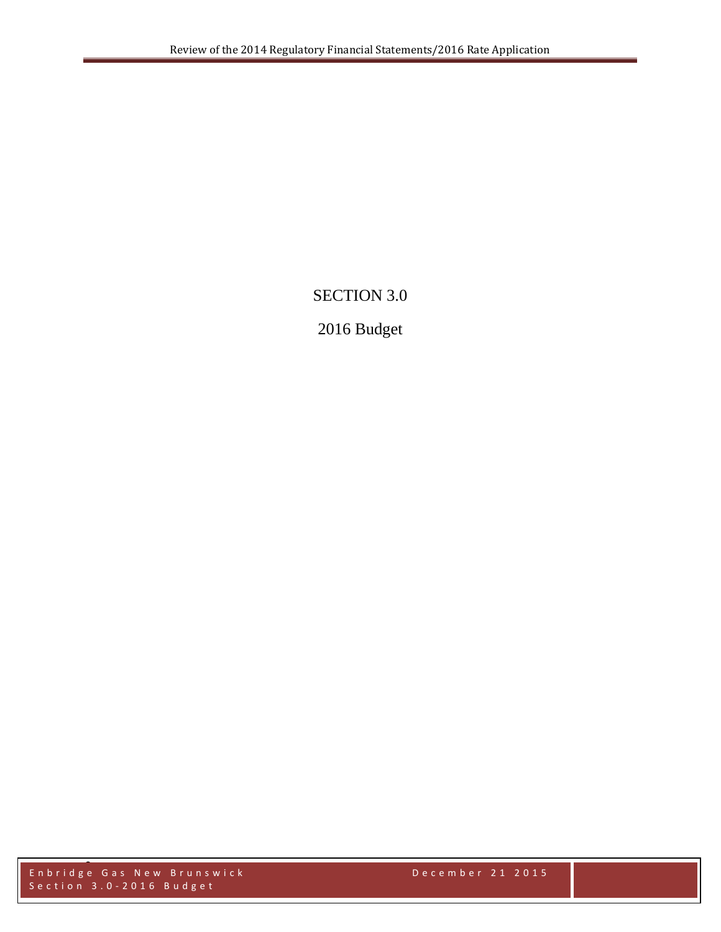# SECTION 3.0

# 2016 Budget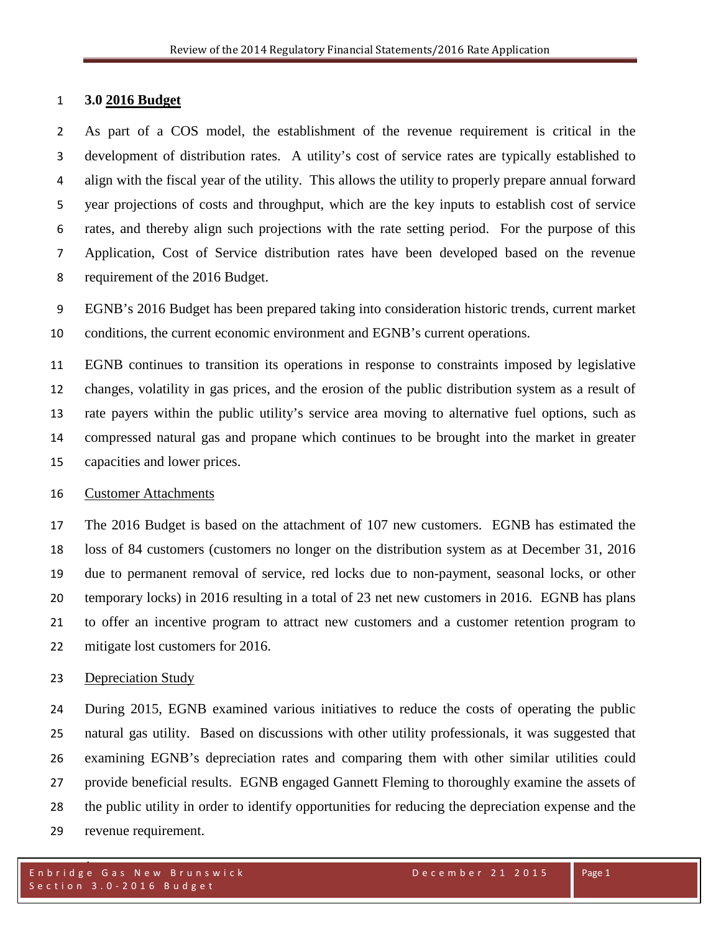## **3.0 2016 Budget**

 As part of a COS model, the establishment of the revenue requirement is critical in the development of distribution rates. A utility's cost of service rates are typically established to align with the fiscal year of the utility. This allows the utility to properly prepare annual forward year projections of costs and throughput, which are the key inputs to establish cost of service rates, and thereby align such projections with the rate setting period. For the purpose of this Application, Cost of Service distribution rates have been developed based on the revenue requirement of the 2016 Budget.

 EGNB's 2016 Budget has been prepared taking into consideration historic trends, current market conditions, the current economic environment and EGNB's current operations.

 EGNB continues to transition its operations in response to constraints imposed by legislative changes, volatility in gas prices, and the erosion of the public distribution system as a result of rate payers within the public utility's service area moving to alternative fuel options, such as compressed natural gas and propane which continues to be brought into the market in greater capacities and lower prices.

#### Customer Attachments

 The 2016 Budget is based on the attachment of 107 new customers. EGNB has estimated the loss of 84 customers (customers no longer on the distribution system as at December 31, 2016 due to permanent removal of service, red locks due to non-payment, seasonal locks, or other temporary locks) in 2016 resulting in a total of 23 net new customers in 2016. EGNB has plans to offer an incentive program to attract new customers and a customer retention program to mitigate lost customers for 2016.

#### Depreciation Study

 During 2015, EGNB examined various initiatives to reduce the costs of operating the public natural gas utility. Based on discussions with other utility professionals, it was suggested that examining EGNB's depreciation rates and comparing them with other similar utilities could provide beneficial results. EGNB engaged Gannett Fleming to thoroughly examine the assets of the public utility in order to identify opportunities for reducing the depreciation expense and the revenue requirement.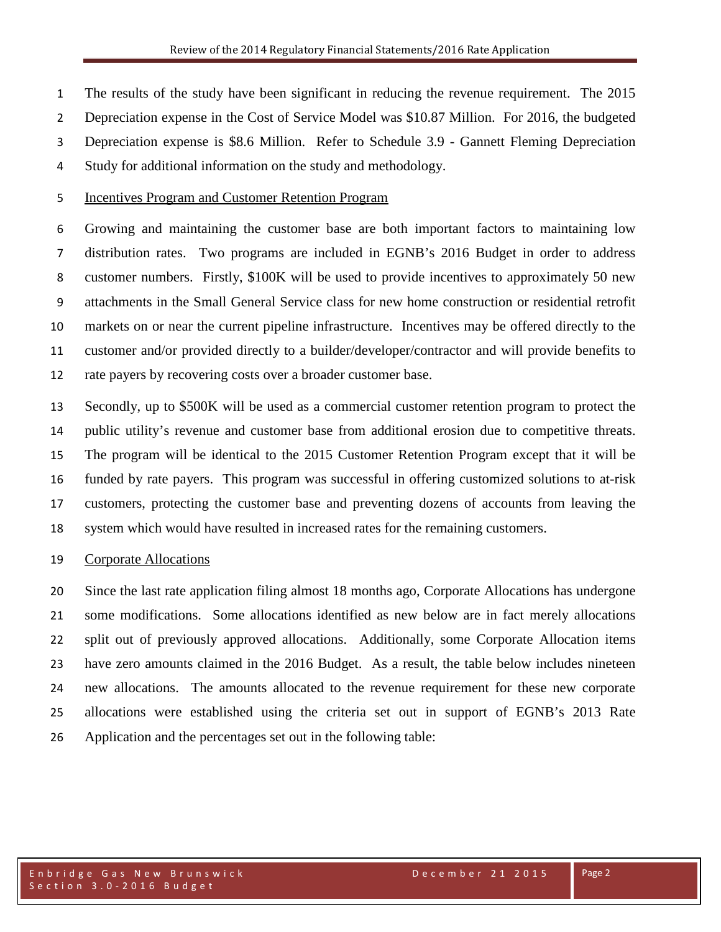The results of the study have been significant in reducing the revenue requirement. The 2015

Depreciation expense in the Cost of Service Model was \$10.87 Million. For 2016, the budgeted

- Depreciation expense is \$8.6 Million. Refer to Schedule 3.9 Gannett Fleming Depreciation
- Study for additional information on the study and methodology.

## Incentives Program and Customer Retention Program

 Growing and maintaining the customer base are both important factors to maintaining low distribution rates. Two programs are included in EGNB's 2016 Budget in order to address customer numbers. Firstly, \$100K will be used to provide incentives to approximately 50 new attachments in the Small General Service class for new home construction or residential retrofit markets on or near the current pipeline infrastructure. Incentives may be offered directly to the customer and/or provided directly to a builder/developer/contractor and will provide benefits to rate payers by recovering costs over a broader customer base.

 Secondly, up to \$500K will be used as a commercial customer retention program to protect the public utility's revenue and customer base from additional erosion due to competitive threats. The program will be identical to the 2015 Customer Retention Program except that it will be funded by rate payers. This program was successful in offering customized solutions to at-risk customers, protecting the customer base and preventing dozens of accounts from leaving the system which would have resulted in increased rates for the remaining customers.

### Corporate Allocations

 Since the last rate application filing almost 18 months ago, Corporate Allocations has undergone some modifications. Some allocations identified as new below are in fact merely allocations split out of previously approved allocations. Additionally, some Corporate Allocation items have zero amounts claimed in the 2016 Budget. As a result, the table below includes nineteen new allocations. The amounts allocated to the revenue requirement for these new corporate allocations were established using the criteria set out in support of EGNB's 2013 Rate Application and the percentages set out in the following table: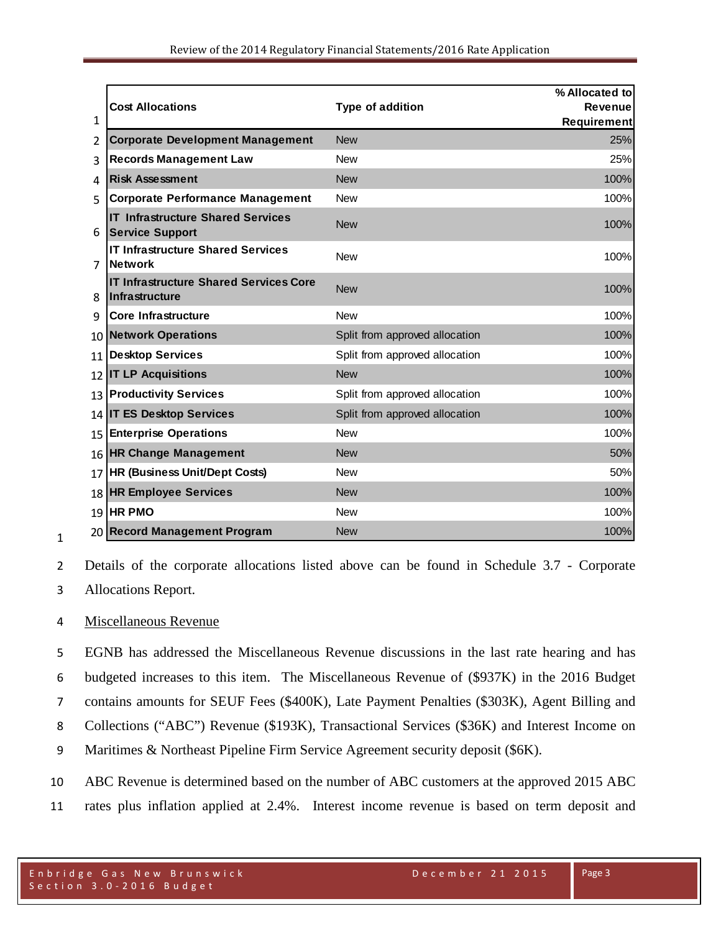|    |                                                                    |                                | % Allocated to     |
|----|--------------------------------------------------------------------|--------------------------------|--------------------|
|    | <b>Cost Allocations</b>                                            | Type of addition               | <b>Revenue</b>     |
| 1  |                                                                    |                                | <b>Requirement</b> |
| 2  | <b>Corporate Development Management</b>                            | <b>New</b>                     | 25%                |
| 3  | <b>Records Management Law</b>                                      | <b>New</b>                     | 25%                |
| 4  | <b>Risk Assessment</b>                                             | <b>New</b>                     | 100%               |
| 5  | <b>Corporate Performance Management</b>                            | <b>New</b>                     | 100%               |
| 6  | <b>IT Infrastructure Shared Services</b><br><b>Service Support</b> | <b>New</b>                     | 100%               |
| 7  | <b>IT Infrastructure Shared Services</b><br><b>Network</b>         | <b>New</b>                     | 100%               |
| 8  | <b>IT Infrastructure Shared Services Core</b><br>Infrastructure    | <b>New</b>                     | 100%               |
| 9  | <b>Core Infrastructure</b>                                         | <b>New</b>                     | 100%               |
| 10 | <b>Network Operations</b>                                          | Split from approved allocation | 100%               |
| 11 | <b>Desktop Services</b>                                            | Split from approved allocation | 100%               |
|    | 12 IT LP Acquisitions                                              | <b>New</b>                     | 100%               |
| 13 | <b>Productivity Services</b>                                       | Split from approved allocation | 100%               |
|    | 14 IT ES Desktop Services                                          | Split from approved allocation | 100%               |
| 15 | <b>Enterprise Operations</b>                                       | <b>New</b>                     | 100%               |
|    | 16 HR Change Management                                            | <b>New</b>                     | 50%                |
| 17 | <b>HR (Business Unit/Dept Costs)</b>                               | <b>New</b>                     | 50%                |
| 18 | <b>HR Employee Services</b>                                        | <b>New</b>                     | 100%               |
| 19 | <b>HR PMO</b>                                                      | <b>New</b>                     | 100%               |
|    | 20 Record Management Program                                       | <b>New</b>                     | 100%               |

Details of the corporate allocations listed above can be found in Schedule 3.7 - Corporate

Allocations Report.

# Miscellaneous Revenue

 EGNB has addressed the Miscellaneous Revenue discussions in the last rate hearing and has budgeted increases to this item. The Miscellaneous Revenue of (\$937K) in the 2016 Budget contains amounts for SEUF Fees (\$400K), Late Payment Penalties (\$303K), Agent Billing and Collections ("ABC") Revenue (\$193K), Transactional Services (\$36K) and Interest Income on Maritimes & Northeast Pipeline Firm Service Agreement security deposit (\$6K).

ABC Revenue is determined based on the number of ABC customers at the approved 2015 ABC

rates plus inflation applied at 2.4%. Interest income revenue is based on term deposit and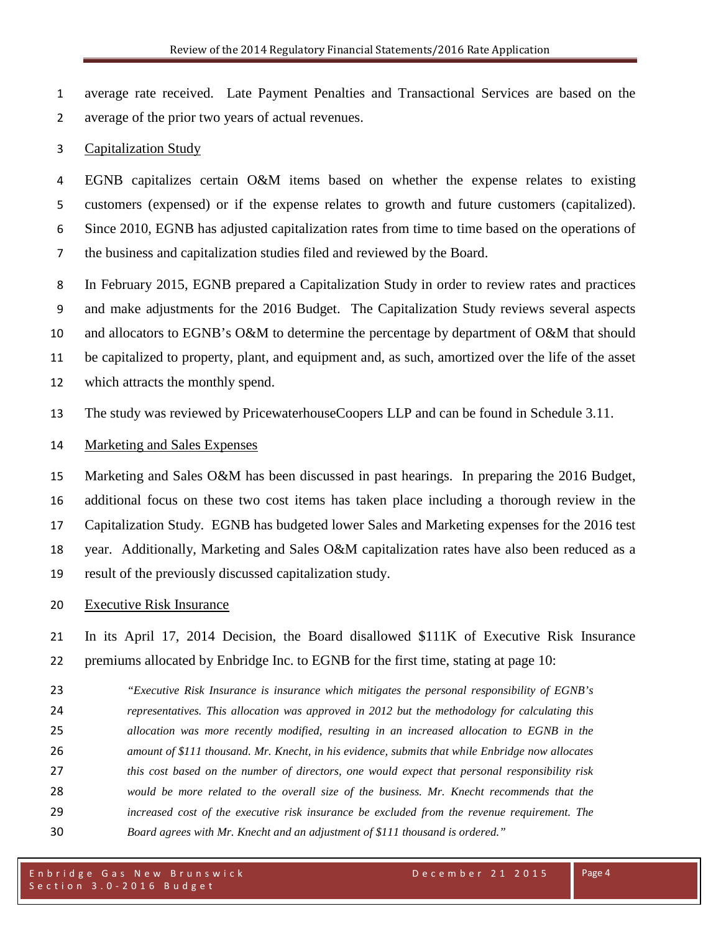average rate received. Late Payment Penalties and Transactional Services are based on the average of the prior two years of actual revenues.

#### Capitalization Study

 EGNB capitalizes certain O&M items based on whether the expense relates to existing customers (expensed) or if the expense relates to growth and future customers (capitalized). Since 2010, EGNB has adjusted capitalization rates from time to time based on the operations of the business and capitalization studies filed and reviewed by the Board.

 In February 2015, EGNB prepared a Capitalization Study in order to review rates and practices and make adjustments for the 2016 Budget. The Capitalization Study reviews several aspects and allocators to EGNB's O&M to determine the percentage by department of O&M that should be capitalized to property, plant, and equipment and, as such, amortized over the life of the asset which attracts the monthly spend.

The study was reviewed by PricewaterhouseCoopers LLP and can be found in Schedule 3.11.

#### Marketing and Sales Expenses

 Marketing and Sales O&M has been discussed in past hearings. In preparing the 2016 Budget, additional focus on these two cost items has taken place including a thorough review in the Capitalization Study. EGNB has budgeted lower Sales and Marketing expenses for the 2016 test year. Additionally, Marketing and Sales O&M capitalization rates have also been reduced as a result of the previously discussed capitalization study.

### Executive Risk Insurance

 In its April 17, 2014 Decision, the Board disallowed \$111K of Executive Risk Insurance premiums allocated by Enbridge Inc. to EGNB for the first time, stating at page 10:

 *"Executive Risk Insurance is insurance which mitigates the personal responsibility of EGNB's representatives. This allocation was approved in 2012 but the methodology for calculating this allocation was more recently modified, resulting in an increased allocation to EGNB in the amount of \$111 thousand. Mr. Knecht, in his evidence, submits that while Enbridge now allocates this cost based on the number of directors, one would expect that personal responsibility risk would be more related to the overall size of the business. Mr. Knecht recommends that the increased cost of the executive risk insurance be excluded from the revenue requirement. The Board agrees with Mr. Knecht and an adjustment of \$111 thousand is ordered."*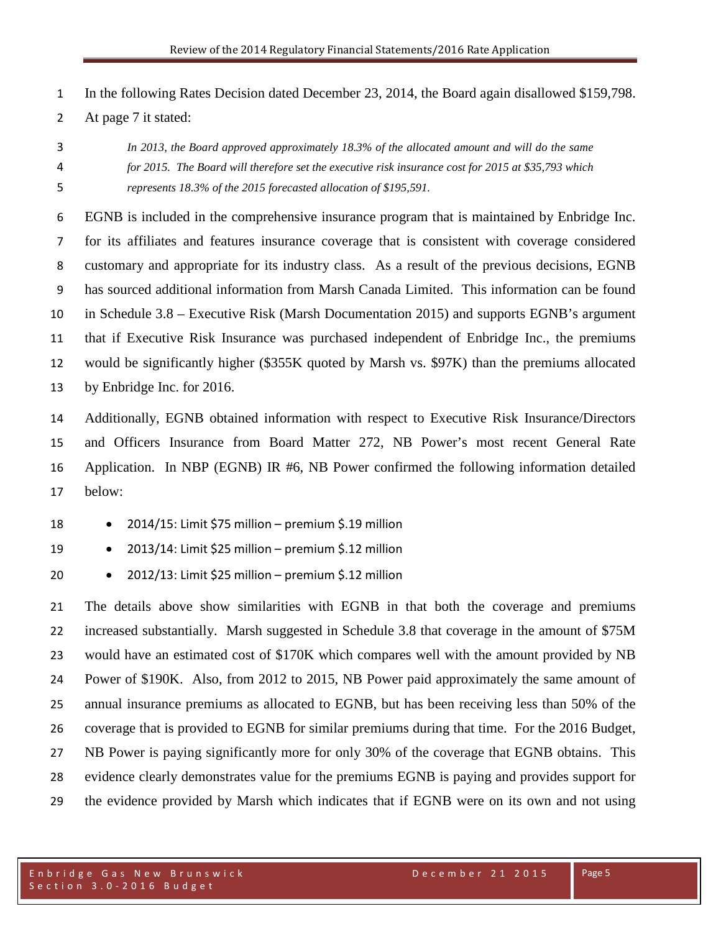In the following Rates Decision dated December 23, 2014, the Board again disallowed \$159,798.

At page 7 it stated:

 *In 2013, the Board approved approximately 18.3% of the allocated amount and will do the same for 2015. The Board will therefore set the executive risk insurance cost for 2015 at \$35,793 which represents 18.3% of the 2015 forecasted allocation of \$195,591.* 

 EGNB is included in the comprehensive insurance program that is maintained by Enbridge Inc. for its affiliates and features insurance coverage that is consistent with coverage considered customary and appropriate for its industry class. As a result of the previous decisions, EGNB has sourced additional information from Marsh Canada Limited. This information can be found in Schedule 3.8 – Executive Risk (Marsh Documentation 2015) and supports EGNB's argument that if Executive Risk Insurance was purchased independent of Enbridge Inc., the premiums would be significantly higher (\$355K quoted by Marsh vs. \$97K) than the premiums allocated by Enbridge Inc. for 2016.

 Additionally, EGNB obtained information with respect to Executive Risk Insurance/Directors and Officers Insurance from Board Matter 272, NB Power's most recent General Rate Application. In NBP (EGNB) IR #6, NB Power confirmed the following information detailed below:

- 2014/15: Limit \$75 million premium \$.19 million
- 2013/14: Limit \$25 million premium \$.12 million
- 2012/13: Limit \$25 million premium \$.12 million

 The details above show similarities with EGNB in that both the coverage and premiums increased substantially. Marsh suggested in Schedule 3.8 that coverage in the amount of \$75M would have an estimated cost of \$170K which compares well with the amount provided by NB Power of \$190K. Also, from 2012 to 2015, NB Power paid approximately the same amount of annual insurance premiums as allocated to EGNB, but has been receiving less than 50% of the coverage that is provided to EGNB for similar premiums during that time. For the 2016 Budget, NB Power is paying significantly more for only 30% of the coverage that EGNB obtains. This evidence clearly demonstrates value for the premiums EGNB is paying and provides support for the evidence provided by Marsh which indicates that if EGNB were on its own and not using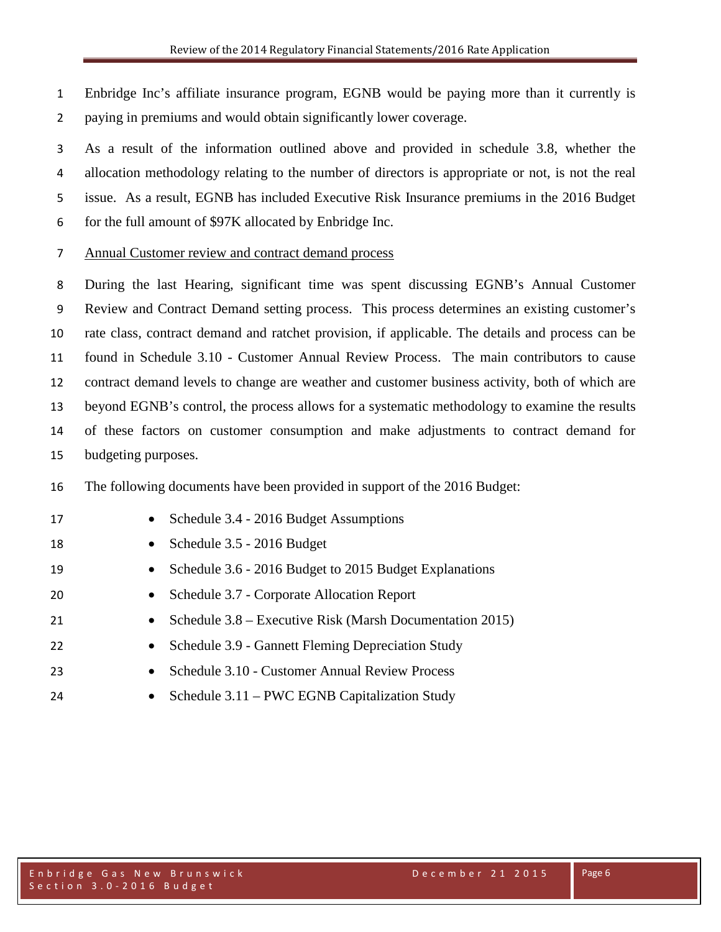Enbridge Inc's affiliate insurance program, EGNB would be paying more than it currently is paying in premiums and would obtain significantly lower coverage.

 As a result of the information outlined above and provided in schedule 3.8, whether the allocation methodology relating to the number of directors is appropriate or not, is not the real issue. As a result, EGNB has included Executive Risk Insurance premiums in the 2016 Budget for the full amount of \$97K allocated by Enbridge Inc.

Annual Customer review and contract demand process

 During the last Hearing, significant time was spent discussing EGNB's Annual Customer Review and Contract Demand setting process. This process determines an existing customer's rate class, contract demand and ratchet provision, if applicable. The details and process can be found in Schedule 3.10 - Customer Annual Review Process. The main contributors to cause contract demand levels to change are weather and customer business activity, both of which are beyond EGNB's control, the process allows for a systematic methodology to examine the results of these factors on customer consumption and make adjustments to contract demand for budgeting purposes.

The following documents have been provided in support of the 2016 Budget:

| 17 | Schedule 3.4 - 2016 Budget Assumptions<br>$\bullet$                   |
|----|-----------------------------------------------------------------------|
| 18 | Schedule 3.5 - 2016 Budget<br>$\bullet$                               |
| 19 | Schedule 3.6 - 2016 Budget to 2015 Budget Explanations<br>$\bullet$   |
| 20 | Schedule 3.7 - Corporate Allocation Report<br>$\bullet$               |
| 21 | Schedule 3.8 – Executive Risk (Marsh Documentation 2015)<br>$\bullet$ |
| 22 | Schedule 3.9 - Gannett Fleming Depreciation Study<br>$\bullet$        |
| 23 | Schedule 3.10 - Customer Annual Review Process<br>$\bullet$           |
| 24 | Schedule 3.11 – PWC EGNB Capitalization Study<br>$\bullet$            |